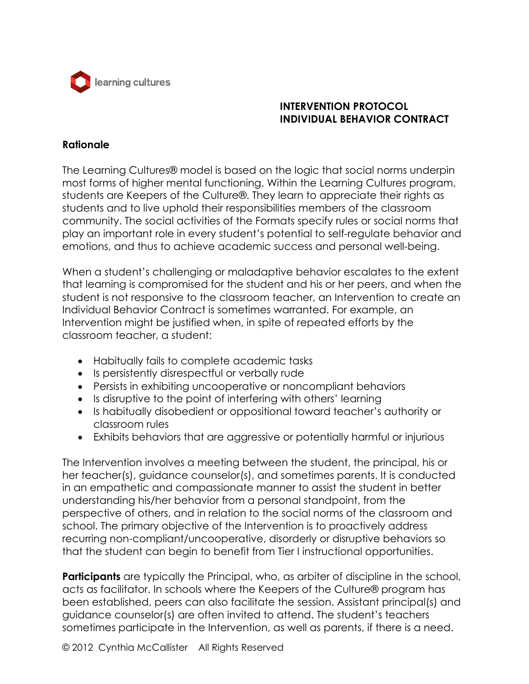

# **INTERVENTION PROTOCOL INDIVIDUAL BEHAVIOR CONTRACT**

#### **Rationale**

The Learning Cultures® model is based on the logic that social norms underpin most forms of higher mental functioning. Within the Learning Cultures program, students are Keepers of the Culture®. They learn to appreciate their rights as students and to live uphold their responsibilities members of the classroom community. The social activities of the Formats specify rules or social norms that play an important role in every student's potential to self-regulate behavior and emotions, and thus to achieve academic success and personal well-being.

When a student's challenging or maladaptive behavior escalates to the extent that learning is compromised for the student and his or her peers, and when the student is not responsive to the classroom teacher, an Intervention to create an Individual Behavior Contract is sometimes warranted. For example, an Intervention might be justified when, in spite of repeated efforts by the classroom teacher, a student:

- Habitually fails to complete academic tasks
- Is persistently disrespectful or verbally rude
- Persists in exhibiting uncooperative or noncompliant behaviors
- Is disruptive to the point of interfering with others' learning
- Is habitually disobedient or oppositional toward teacher's authority or classroom rules
- Exhibits behaviors that are aggressive or potentially harmful or injurious

The Intervention involves a meeting between the student, the principal, his or her teacher(s), guidance counselor(s), and sometimes parents. It is conducted in an empathetic and compassionate manner to assist the student in better understanding his/her behavior from a personal standpoint, from the perspective of others, and in relation to the social norms of the classroom and school. The primary objective of the Intervention is to proactively address recurring non-compliant/uncooperative, disorderly or disruptive behaviors so that the student can begin to benefit from Tier I instructional opportunities.

**Participants** are typically the Principal, who, as arbiter of discipline in the school, acts as facilitator. In schools where the Keepers of the Culture® program has been established, peers can also facilitate the session. Assistant principal(s) and guidance counselor(s) are often invited to attend. The student's teachers sometimes participate in the Intervention, as well as parents, if there is a need.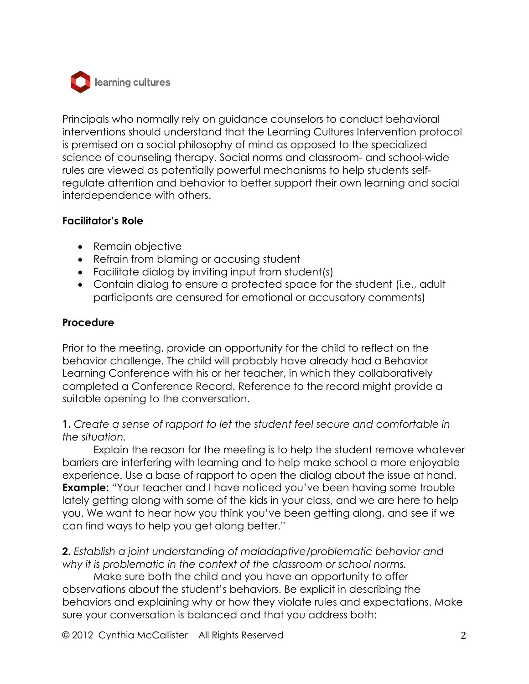

Principals who normally rely on guidance counselors to conduct behavioral interventions should understand that the Learning Cultures Intervention protocol is premised on a social philosophy of mind as opposed to the specialized science of counseling therapy. Social norms and classroom- and school-wide rules are viewed as potentially powerful mechanisms to help students selfregulate attention and behavior to better support their own learning and social interdependence with others.

## **Facilitator's Role**

- Remain objective
- Refrain from blaming or accusing student
- Facilitate dialog by inviting input from student(s)
- Contain dialog to ensure a protected space for the student (i.e., adult participants are censured for emotional or accusatory comments)

## **Procedure**

Prior to the meeting, provide an opportunity for the child to reflect on the behavior challenge. The child will probably have already had a Behavior Learning Conference with his or her teacher, in which they collaboratively completed a Conference Record. Reference to the record might provide a suitable opening to the conversation.

## **1.** *Create a sense of rapport to let the student feel secure and comfortable in the situation.*

Explain the reason for the meeting is to help the student remove whatever barriers are interfering with learning and to help make school a more enjoyable experience. Use a base of rapport to open the dialog about the issue at hand. **Example:** "Your teacher and I have noticed you've been having some trouble lately getting along with some of the kids in your class, and we are here to help you. We want to hear how you think you've been getting along, and see if we can find ways to help you get along better."

**2.** *Establish a joint understanding of maladaptive/problematic behavior and why it is problematic in the context of the classroom or school norms.*

Make sure both the child and you have an opportunity to offer observations about the student's behaviors. Be explicit in describing the behaviors and explaining why or how they violate rules and expectations. Make sure your conversation is balanced and that you address both:

© 2012 Cynthia McCallister All Rights Reserved 2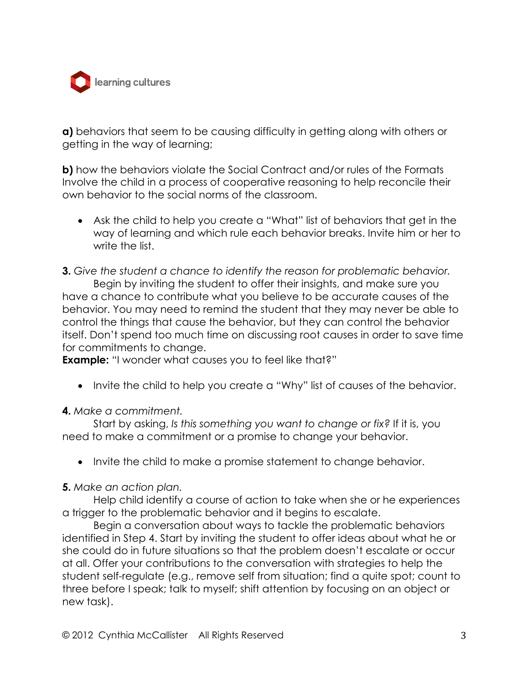

**a)** behaviors that seem to be causing difficulty in getting along with others or getting in the way of learning;

**b)** how the behaviors violate the Social Contract and/or rules of the Formats Involve the child in a process of cooperative reasoning to help reconcile their own behavior to the social norms of the classroom.

- Ask the child to help you create a "What" list of behaviors that get in the way of learning and which rule each behavior breaks. Invite him or her to write the list.
- **3.** *Give the student a chance to identify the reason for problematic behavior.*

Begin by inviting the student to offer their insights, and make sure you have a chance to contribute what you believe to be accurate causes of the behavior. You may need to remind the student that they may never be able to control the things that cause the behavior, but they can control the behavior itself. Don't spend too much time on discussing root causes in order to save time for commitments to change.

**Example:** "I wonder what causes you to feel like that?"

• Invite the child to help you create a "Why" list of causes of the behavior.

## **4.** *Make a commitment.*

Start by asking, *Is this something you want to change or fix?* If it is, you need to make a commitment or a promise to change your behavior.

• Invite the child to make a promise statement to change behavior.

#### **5.** *Make an action plan.*

Help child identify a course of action to take when she or he experiences a trigger to the problematic behavior and it begins to escalate.

Begin a conversation about ways to tackle the problematic behaviors identified in Step 4. Start by inviting the student to offer ideas about what he or she could do in future situations so that the problem doesn't escalate or occur at all. Offer your contributions to the conversation with strategies to help the student self-regulate (e.g., remove self from situation; find a quite spot; count to three before I speak; talk to myself; shift attention by focusing on an object or new task).